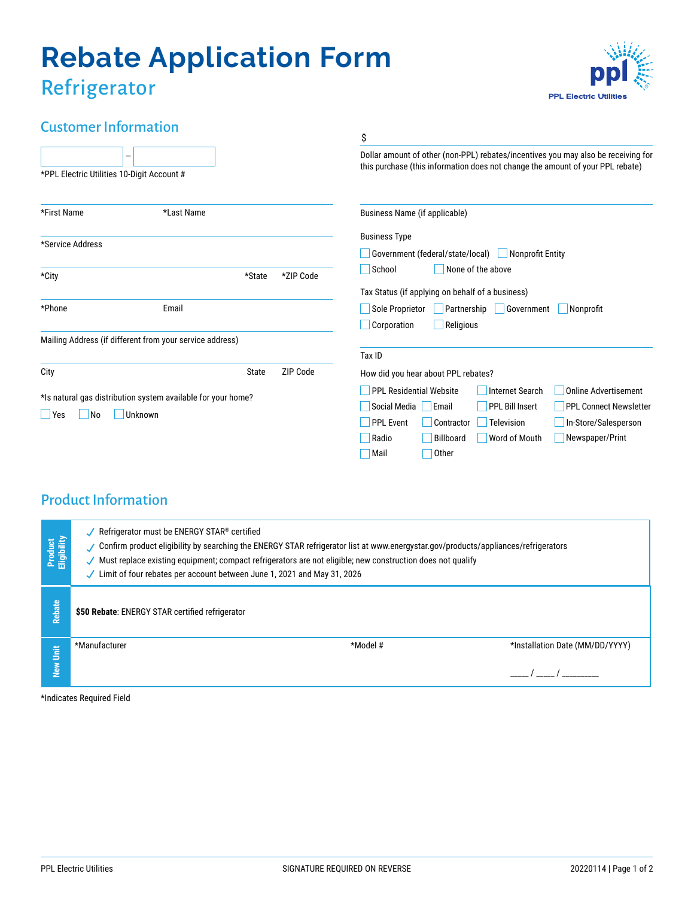# **Rebate Application Form** Refrigerator

# **PPL Electric Utilities**

# Customer Information

| Casconici inioninacioni<br>-<br>*PPL Electric Utilities 10-Digit Account #           |                                                          |           | \$<br>Dollar amount of other (non-PPL) rebates/incentives you may also be receiving for<br>this purchase (this information does not change the amount of your PPL rebate)                                                                                                                                                        |  |
|--------------------------------------------------------------------------------------|----------------------------------------------------------|-----------|----------------------------------------------------------------------------------------------------------------------------------------------------------------------------------------------------------------------------------------------------------------------------------------------------------------------------------|--|
|                                                                                      |                                                          |           |                                                                                                                                                                                                                                                                                                                                  |  |
| *Service Address                                                                     |                                                          |           | <b>Business Type</b><br>Government (federal/state/local)<br>Nonprofit Entity                                                                                                                                                                                                                                                     |  |
| *City                                                                                | *State                                                   | *ZIP Code | School<br>None of the above<br>Tax Status (if applying on behalf of a business)                                                                                                                                                                                                                                                  |  |
| *Phone                                                                               | Email                                                    |           | Sole Proprietor<br>Partnership<br>Government<br>Nonprofit<br>Corporation<br>Religious                                                                                                                                                                                                                                            |  |
|                                                                                      | Mailing Address (if different from your service address) |           | Tax ID                                                                                                                                                                                                                                                                                                                           |  |
| City                                                                                 | State                                                    | ZIP Code  | How did you hear about PPL rebates?                                                                                                                                                                                                                                                                                              |  |
| *Is natural gas distribution system available for your home?<br>Unknown<br>Yes<br>No |                                                          |           | <b>PPL Residential Website</b><br><b>Internet Search</b><br><b>Online Advertisement</b><br><b>PPL Bill Insert</b><br>Social Media<br>  Email<br><b>PPL Connect Newsletter</b><br><b>PPL Event</b><br>Contractor<br>Television<br>In-Store/Salesperson<br>Newspaper/Print<br>Billboard<br>Radio<br>Word of Mouth<br>Other<br>Mail |  |

## Product Information

| Product<br>Eligibility | Refrigerator must be ENERGY STAR® certified<br>Confirm product eligibility by searching the ENERGY STAR refrigerator list at www.energystar.gov/products/appliances/refrigerators<br>Must replace existing equipment; compact refrigerators are not eligible; new construction does not qualify<br>Limit of four rebates per account between June 1, 2021 and May 31, 2026 |                               |                                                                                                                                                                                                                                                                                                           |  |  |  |
|------------------------|----------------------------------------------------------------------------------------------------------------------------------------------------------------------------------------------------------------------------------------------------------------------------------------------------------------------------------------------------------------------------|-------------------------------|-----------------------------------------------------------------------------------------------------------------------------------------------------------------------------------------------------------------------------------------------------------------------------------------------------------|--|--|--|
| Rebate                 | \$50 Rebate: ENERGY STAR certified refrigerator                                                                                                                                                                                                                                                                                                                            |                               |                                                                                                                                                                                                                                                                                                           |  |  |  |
|                        | *Manufacturer                                                                                                                                                                                                                                                                                                                                                              | *Model #                      | *Installation Date (MM/DD/YYYY)                                                                                                                                                                                                                                                                           |  |  |  |
| New Unit               |                                                                                                                                                                                                                                                                                                                                                                            |                               | $\frac{1}{2}$ / $\frac{1}{2}$ / $\frac{1}{2}$ / $\frac{1}{2}$ / $\frac{1}{2}$ / $\frac{1}{2}$ / $\frac{1}{2}$ / $\frac{1}{2}$ / $\frac{1}{2}$ / $\frac{1}{2}$ / $\frac{1}{2}$ / $\frac{1}{2}$ / $\frac{1}{2}$ / $\frac{1}{2}$ / $\frac{1}{2}$ / $\frac{1}{2}$ / $\frac{1}{2}$ / $\frac{1}{2}$ / $\frac{1$ |  |  |  |
|                        | *Indicates Required Field                                                                                                                                                                                                                                                                                                                                                  |                               |                                                                                                                                                                                                                                                                                                           |  |  |  |
|                        |                                                                                                                                                                                                                                                                                                                                                                            |                               |                                                                                                                                                                                                                                                                                                           |  |  |  |
|                        |                                                                                                                                                                                                                                                                                                                                                                            |                               |                                                                                                                                                                                                                                                                                                           |  |  |  |
|                        |                                                                                                                                                                                                                                                                                                                                                                            |                               |                                                                                                                                                                                                                                                                                                           |  |  |  |
|                        |                                                                                                                                                                                                                                                                                                                                                                            |                               |                                                                                                                                                                                                                                                                                                           |  |  |  |
|                        |                                                                                                                                                                                                                                                                                                                                                                            |                               |                                                                                                                                                                                                                                                                                                           |  |  |  |
|                        |                                                                                                                                                                                                                                                                                                                                                                            |                               |                                                                                                                                                                                                                                                                                                           |  |  |  |
|                        | <b>PPL Electric Utilities</b>                                                                                                                                                                                                                                                                                                                                              | SIGNATURE REQUIRED ON REVERSE | 20220114   Page 1 of 2                                                                                                                                                                                                                                                                                    |  |  |  |